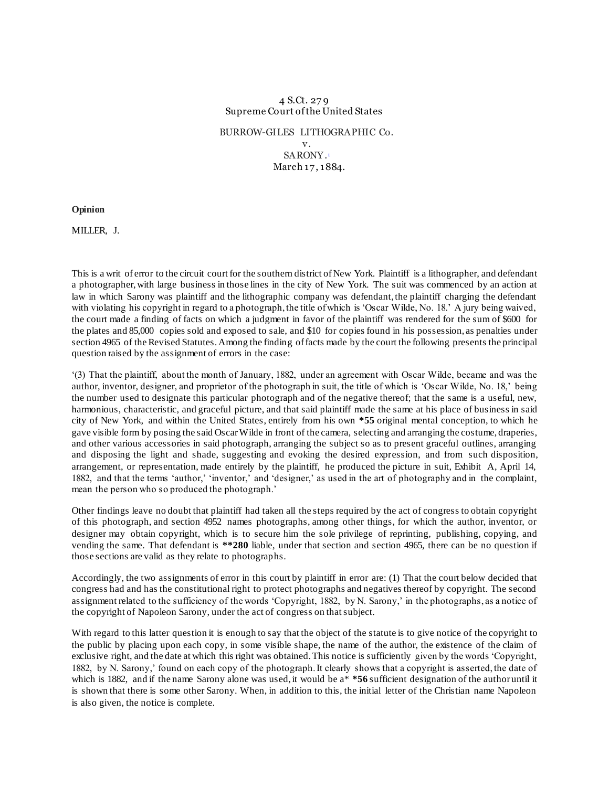## 4 S.Ct. 27 9 Supreme Court of the United States

BURROW-GILES LITHOGRAPHIC Co. v. SARONY .<sup>1</sup> March 17, 1884.

**Opinion**

MILLER, J.

This is a writ of error to the circuit court for the southern district of New York. Plaintiff is a lithographer, and defendant a photographer, with large business in those lines in the city of New York. The suit was commenced by an action at law in which Sarony was plaintiff and the lithographic company was defendant, the plaintiff charging the defendant with violating his copyright in regard to a photograph, the title of which is 'Oscar Wilde, No. 18.' A jury being waived, the court made a finding of facts on which a judgment in favor of the plaintiff was rendered for the sum of \$600 for the plates and 85,000 copies sold and exposed to sale, and \$10 for copies found in his possession, as penalties under section 4965 of the Revised Statutes. Among the finding of facts made by the court the following presents the principal question raised by the assignment of errors in the case:

'(3) That the plaintiff, about the month of January, 1882, under an agreement with Oscar Wilde, became and was the author, inventor, designer, and proprietor of the photograph in suit, the title of which is 'Oscar Wilde, No. 18,' being the number used to designate this particular photograph and of the negative thereof; that the same is a useful, new, harmonious, characteristic, and graceful picture, and that said plaintiff made the same at his place of business in said city of New York, and within the United States, entirely from his own **\*55** original mental conception, to which he gave visible form by posing the said Oscar Wilde in front of the camera, selecting and arranging the costume, draperies, and other various accessories in said photograph, arranging the subject so as to present graceful outlines, arranging and disposing the light and shade, suggesting and evoking the desired expression, and from such disposition, arrangement, or representation, made entirely by the plaintiff, he produced the picture in suit, Exhibit A, April 14, 1882, and that the terms 'author,' 'inventor,' and 'designer,' as used in the art of photography and in the complaint, mean the person who so produced the photograph.'

Other findings leave no doubt that plaintiff had taken all the steps required by the act of congress to obtain copyright of this photograph, and section 4952 names photographs, among other things, for which the author, inventor, or designer may obtain copyright, which is to secure him the sole privilege of reprinting, publishing, copying, and vending the same. That defendant is **\*\*280** liable, under that section and section 4965, there can be no question if those sections are valid as they relate to photographs.

Accordingly, the two assignments of error in this court by plaintiff in error are: (1) That the court below decided that congress had and has the constitutional right to protect photographs and negatives thereof by copyright. The second assignment related to the sufficiency of the words 'Copyright, 1882, by N. Sarony,' in the photographs, as a notice of the copyright of Napoleon Sarony, under the act of congress on that subject.

With regard to this latter question it is enough to say that the object of the statute is to give notice of the copyright to the public by placing upon each copy, in some visible shape, the name of the author, the existence of the claim of exclusive right, and the date at which this right was obtained. This notice is sufficiently given by the words 'Copyright, 1882, by N. Sarony,' found on each copy of the photograph. It clearly shows that a copyright is asserted, the date of which is 1882, and if the name Sarony alone was used, it would be a\* **\*56** sufficient designation of the author until it is shown that there is some other Sarony. When, in addition to this, the initial letter of the Christian name Napoleon is also given, the notice is complete.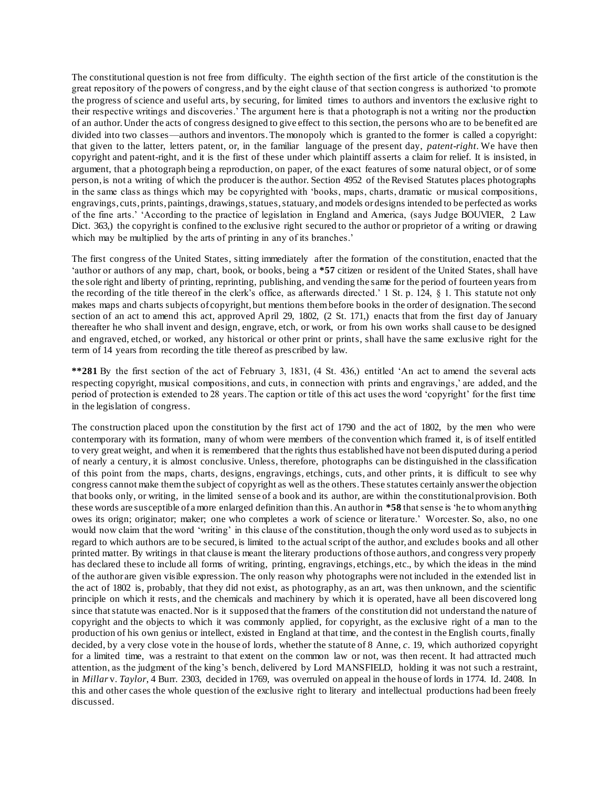The constitutional question is not free from difficulty. The eighth section of the first article of the constitution is the great repository of the powers of congress, and by the eight clause of that section congress is authorized 'to promote the progress of science and useful arts, by securing, for limited times to authors and inventors t he exclusive right to their respective writings and discoveries.' The argument here is that a photograph is not a writing nor the production of an author. Under the acts of congress designed to give effect to this section, the persons who are to be benefit ed are divided into two classes—authors and inventors. The monopoly which is granted to the former is called a copyright: that given to the latter, letters patent, or, in the familiar language of the present day, *patent-right*. We have then copyright and patent-right, and it is the first of these under which plaintiff asserts a claim for relief. It is insisted, in argument, that a photograph being a reproduction, on paper, of the exact features of some natural object, or of some person, is not a writing of which the producer is the author. Section 4952 of the Revised Statutes places photographs in the same class as things which may be copyrighted with 'books, maps, charts, dramatic or musical compositions, engravings, cuts, prints, paintings, drawings, statues, statuary, and models or designs intended to be perfected as works of the fine arts.' 'According to the practice of legislation in England and America, (says Judge BOUVIER, 2 Law Dict. 363,) the copyright is confined to the exclusive right secured to the author or proprietor of a writing or drawing which may be multiplied by the arts of printing in any of its branches.'

The first congress of the United States, sitting immediately after the formation of the constitution, enacted that the 'author or authors of any map, chart, book, or books, being a **\*57** citizen or resident of the United States, shall have the sole right and liberty of printing, reprinting, publishing, and vending the same for the period of fourteen years from the recording of the title thereof in the clerk's office, as afterwards directed.' 1 St. p. 124, § 1. This statute not only makes maps and charts subjects of copyright, but mentions them before books in the order of designation. The second section of an act to amend this act, approved April 29, 1802, (2 St. 171,) enacts that from the first day of January thereafter he who shall invent and design, engrave, etch, or work, or from his own works shall cause to be designed and engraved, etched, or worked, any historical or other print or prints, shall have the same exclusive right for the term of 14 years from recording the title thereof as prescribed by law.

**\*\*281** By the first section of the act of February 3, 1831, (4 St. 436,) entitled 'An act to amend the several acts respecting copyright, musical compositions, and cuts, in connection with prints and engravings,' are added, and the period of protection is extended to 28 years. The caption or title of this act uses the word 'copyright' for the first time in the legislation of congress.

The construction placed upon the constitution by the first act of 1790 and the act of 1802, by the men who were contemporary with its formation, many of whom were members of the convention which framed it, is of itself entitled to very great weight, and when it is remembered that the rights thus established have not been disputed during a period of nearly a century, it is almost conclusive. Unless, therefore, photographs can be distinguished in the classification of this point from the maps, charts, designs, engravings, etchings, cuts, and other prints, it is difficult to see why congress cannot make them the subject of copyright as well as the others. These statutes certainly answer the objection that books only, or writing, in the limited sense of a book and its author, are within the constitutional provision. Both these words are susceptible of a more enlarged definition than this. An author in **\*58** that sense is 'he to whom anything owes its orign; originator; maker; one who completes a work of science or literature.' Worcester. So, also, no one would now claim that the word 'writing' in this clause of the constitution, though the only word used as to subjects in regard to which authors are to be secured, is limited to the actual script of the author, and exclude s books and all other printed matter. By writings in that clause is meant the literary productions of those authors, and congress very properly has declared these to include all forms of writing, printing, engravings, etchings, etc., by which the ideas in the mind of the author are given visible expression. The only reason why photographs were not included in the extended list in the act of 1802 is, probably, that they did not exist, as photography, as an art, was then unknown, and the scientific principle on which it rests, and the chemicals and machinery by which it is operated, have all been discovered long since that statute was enacted. Nor is it supposed that the framers of the constitution did not understand the nature of copyright and the objects to which it was commonly applied, for copyright, as the exclusive right of a man to the production of his own genius or intellect, existed in England at that time, and the contest in the English courts, finally decided, by a very close vote in the house of lords, whether the statute of 8 Anne, *c*. 19, which authorized copyright for a limited time, was a restraint to that extent on the common law or not, was then recent. It had attracted much attention, as the judgment of the king's bench, delivered by Lord MANSFIELD, holding it was not such a restraint, in *Millar* v. *Taylor*, 4 Burr. 2303, decided in 1769, was overruled on appeal in the house of lords in 1774. Id. 2408. In this and other cases the whole question of the exclusive right to literary and intellectual productions had been freely discussed.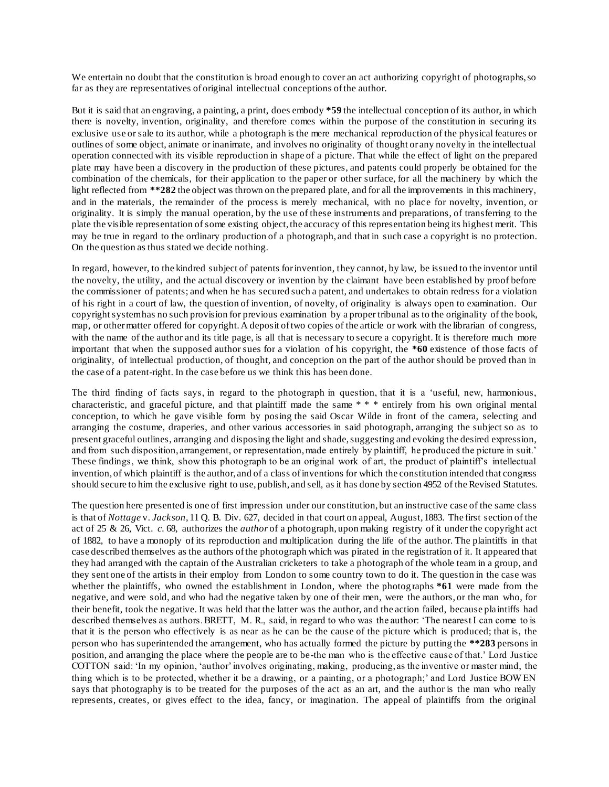We entertain no doubt that the constitution is broad enough to cover an act authorizing copyright of photographs, so far as they are representatives of original intellectual conceptions of the author.

But it is said that an engraving, a painting, a print, does embody **\*59** the intellectual conception of its author, in which there is novelty, invention, originality, and therefore comes within the purpose of the constitution in securing its exclusive use or sale to its author, while a photograph is the mere mechanical reproduction of the physical features or outlines of some object, animate or inanimate, and involves no originality of thought or any novelty in the intellectual operation connected with its visible reproduction in shape of a picture. That while the effect of light on the prepared plate may have been a discovery in the production of these pictures, and patents could properly be obtained for the combination of the chemicals, for their application to the paper or other surface, for all the machinery by which the light reflected from **\*\*282** the object was thrown on the prepared plate, and for all the improvements in this machinery, and in the materials, the remainder of the process is merely mechanical, with no place for novelty, invention, or originality. It is simply the manual operation, by the use of these instruments and preparations, of transferring to the plate the visible representation of some existing object, the accuracy of this representation being its highest merit. This may be true in regard to the ordinary production of a photograph, and that in such case a copyright is no protection. On the question as thus stated we decide nothing.

In regard, however, to the kindred subject of patents for invention, they cannot, by law, be issued to the inventor until the novelty, the utility, and the actual discovery or invention by the claimant have been established by proof before the commissioner of patents; and when he has secured such a patent, and undertakes to obtain redress for a violation of his right in a court of law, the question of invention, of novelty, of originality is always open to examination. Our copyright system has no such provision for previous examination by a proper tribunal as to the originality of the book, map, or other matter offered for copyright. A deposit of two copies of the article or work with the librarian of congress, with the name of the author and its title page, is all that is necessary to secure a copyright. It is therefore much more important that when the supposed author sues for a violation of his copyright, the **\*60** existence of those facts of originality, of intellectual production, of thought, and conception on the part of the author should be proved than in the case of a patent-right. In the case before us we think this has been done.

The third finding of facts says, in regard to the photograph in question, that it is a 'useful, new, harmonious, characteristic, and graceful picture, and that plaintiff made the same \* \* \* entirely from his own original mental conception, to which he gave visible form by posing the said Oscar Wilde in front of the camera, selecting and arranging the costume, draperies, and other various accessories in said photograph, arranging the subject so as to present graceful outlines, arranging and disposing the light and shade, suggesting and evoking the desired expression, and from such disposition, arrangement, or representation, made entirely by plaintiff, he produced the picture in suit.' These findings, we think, show this photograph to be an original work of art, the product of plaintiff's intellectual invention, of which plaintiff is the author, and of a class of inventions for which the constitution intended that congress should secure to him the exclusive right to use, publish, and sell, as it has done by section 4952 of the Revised Statutes.

The question here presented is one of first impression under our constitution, but an instructive case of the same class is that of *Nottage* v. *Jackson*, 11 Q. B. Div. 627, decided in that court on appeal, August, 1883. The first section of the act of 25 & 26, Vict. *c.* 68, authorizes the *author* of a photograph, upon making registry of it under the copyright act of 1882, to have a monoply of its reproduction and multiplication during the life of the author. The plaintiffs in that case described themselves as the authors of the photograph which was pirated in the registration of it. It appeared that they had arranged with the captain of the Australian cricketers to take a photograph of the whole team in a group, and they sent one of the artists in their employ from London to some country town to do it. The question in the case was whether the plaintiffs, who owned the establishment in London, where the photog raphs **\*61** were made from the negative, and were sold, and who had the negative taken by one of their men, were the authors, or the man who, for their benefit, took the negative. It was held that the latter was the author, and the action failed, because pla intiffs had described themselves as authors. BRETT, M. R., said, in regard to who was the author: 'The nearest I can come to is that it is the person who effectively is as near as he can be the cause of the picture which is produced; that is, the person who has superintended the arrangement, who has actually formed the picture by putting the **\*\*283** persons in position, and arranging the place where the people are to be-the man who is the effective cause of that.' Lord Justice COTTON said: 'In my opinion, 'author' involves originating, making, producing, as the inventive or master mind, the thing which is to be protected, whether it be a drawing, or a painting, or a photograph;' and Lord Justice BOW EN says that photography is to be treated for the purposes of the act as an art, and the author is the man who really represents, creates, or gives effect to the idea, fancy, or imagination. The appeal of plaintiffs from the original